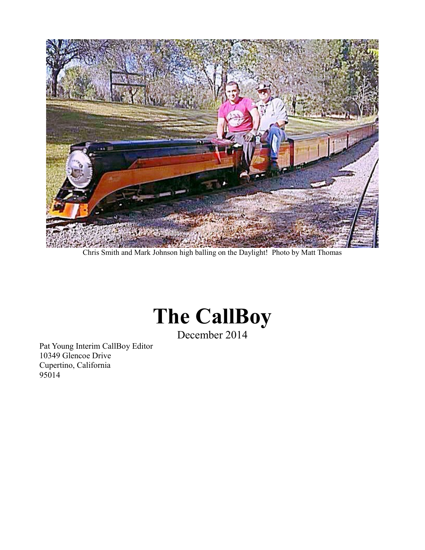

Chris Smith and Mark Johnson high balling on the Daylight! Photo by Matt Thomas



December 2014

Pat Young Interim CallBoy Editor 10349 Glencoe Drive Cupertino, California 95014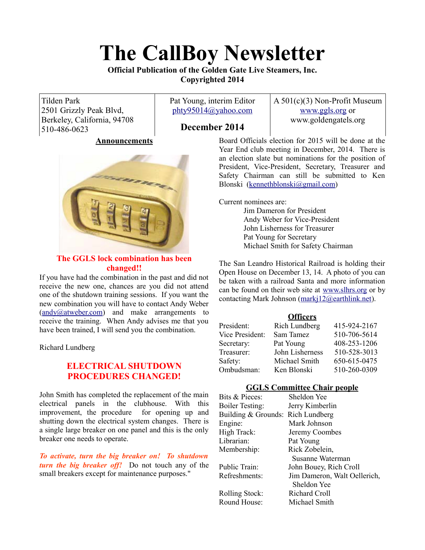# **The CallBoy Newsletter**

**Official Publication of the Golden Gate Live Steamers, Inc. Copyrighted 2014**

Tilden Park 2501 Grizzly Peak Blvd, Berkeley, California, 94708 510-486-0623

Pat Young, interim Editor [phty95014@yahoo.com](mailto:phty95014@yahoo.com)

A 501(c)(3) Non-Profit Museum [www.ggls.org](http://www.ggls.org/) or www.goldengatels.org

# **December 2014**

# **Announcements**



# **The GGLS lock combination has been changed!!**

If you have had the combination in the past and did not receive the new one, chances are you did not attend one of the shutdown training sessions. If you want the new combination you will have to contact Andy Weber [\(andy@atweber.com\)](mailto:andy@atweber.com) and make arrangements to receive the training. When Andy advises me that you have been trained, I will send you the combination.

Richard Lundberg

# **ELECTRICAL SHUTDOWN PROCEDURES CHANGED!**

John Smith has completed the replacement of the main electrical panels in the clubhouse. With this improvement, the procedure for opening up and shutting down the electrical system changes. There is a single large breaker on one panel and this is the only breaker one needs to operate.

*To activate, turn the big breaker on! To shutdown turn the big breaker off!* Do not touch any of the small breakers except for maintenance purposes."

Board Officials election for 2015 will be done at the Year End club meeting in December, 2014. There is an election slate but nominations for the position of President, Vice-President, Secretary, Treasurer and Safety Chairman can still be submitted to Ken Blonski [\(kennethblonski@gmail.com\)](mailto:kennethblonski@gmail.com)

Current nominees are:

Jim Dameron for President Andy Weber for Vice-President John Lisherness for Treasurer Pat Young for Secretary Michael Smith for Safety Chairman

The San Leandro Historical Railroad is holding their Open House on December 13, 14. A photo of you can be taken with a railroad Santa and more information can be found on their web site at [www.slhrs.org](http://www.slhrs.org/) or by contacting Mark Johnson [\(markj12@earthlink.net\)](mailto:markj12@earthlink.net).

# **Officers**

| President:      | <b>Rich Lundberg</b> | 415-924-2167 |
|-----------------|----------------------|--------------|
| Vice President: | Sam Tamez            | 510-706-5614 |
| Secretary:      | Pat Young            | 408-253-1206 |
| Treasurer:      | John Lisherness      | 510-528-3013 |
| Safety:         | Michael Smith        | 650-615-0475 |
| Ombudsman:      | Ken Blonski          | 510-260-0309 |
|                 |                      |              |

# **GGLS Committee Chair people**

| Bits & Pieces:                    | Sheldon Yee                  |
|-----------------------------------|------------------------------|
| <b>Boiler Testing:</b>            | Jerry Kimberlin              |
| Building & Grounds: Rich Lundberg |                              |
| Engine:                           | Mark Johnson                 |
| High Track:                       | Jeremy Coombes               |
| Librarian:                        | Pat Young                    |
| Membership:                       | Rick Zobelein,               |
|                                   | Susanne Waterman             |
| Public Train:                     | John Bouey, Rich Croll       |
| Refreshments:                     | Jim Dameron, Walt Oellerich, |
|                                   | Sheldon Yee                  |
| <b>Rolling Stock:</b>             | Richard Croll                |
| Round House:                      | Michael Smith                |
|                                   |                              |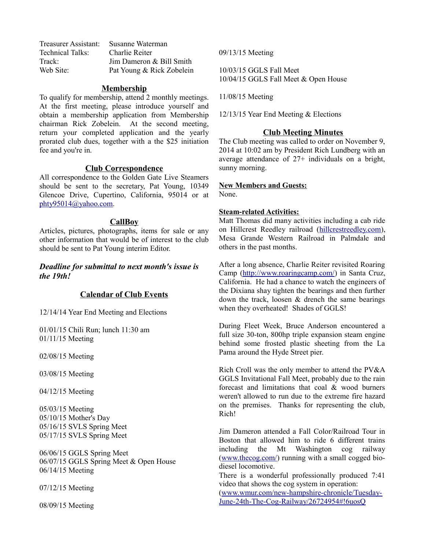| Treasurer Assistant: | Susanne Waterman          |
|----------------------|---------------------------|
| Technical Talks:     | Charlie Reiter            |
| Track:               | Jim Dameron & Bill Smith  |
| Web Site:            | Pat Young & Rick Zobelein |

## **Membership**

To qualify for membership, attend 2 monthly meetings. At the first meeting, please introduce yourself and obtain a membership application from Membership chairman Rick Zobelein. At the second meeting, return your completed application and the yearly prorated club dues, together with a the \$25 initiation fee and you're in.

## **Club Correspondence**

All correspondence to the Golden Gate Live Steamers should be sent to the secretary, Pat Young, 10349 Glencoe Drive, Cupertino, California, 95014 or at [phty95014@yahoo.com.](mailto:phty95014@yahoo.com)

#### **CallBoy**

Articles, pictures, photographs, items for sale or any other information that would be of interest to the club should be sent to Pat Young interim Editor.

# *Deadline for submittal to next month's issue is the 19th!*

# **Calendar of Club Events**

12/14/14 Year End Meeting and Elections

01/01/15 Chili Run; lunch 11:30 am 01/11/15 Meeting

02/08/15 Meeting

03/08/15 Meeting

04/12/15 Meeting

05/03/15 Meeting 05/10/15 Mother's Day 05/16/15 SVLS Spring Meet 05/17/15 SVLS Spring Meet

06/06/15 GGLS Spring Meet 06/07/15 GGLS Spring Meet & Open House 06/14/15 Meeting

07/12/15 Meeting

08/09/15 Meeting

09/13/15 Meeting

10/03/15 GGLS Fall Meet 10/04/15 GGLS Fall Meet & Open House

11/08/15 Meeting

12/13/15 Year End Meeting & Elections

#### **Club Meeting Minutes**

The Club meeting was called to order on November 9, 2014 at 10:02 am by President Rich Lundberg with an average attendance of 27+ individuals on a bright, sunny morning.

# **New Members and Guests:**

None.

#### **Steam-related Activities:**

Matt Thomas did many activities including a cab ride on Hillcrest Reedley railroad [\(hillcrestreedley.com\)](http://www.hillcrestreedley.com/), Mesa Grande Western Railroad in Palmdale and others in the past months.

After a long absence, Charlie Reiter revisited Roaring Camp [\(http://www.roaringcamp.com/\)](http://www.roaringcamp.com/) in Santa Cruz, California. He had a chance to watch the engineers of the Dixiana shay tighten the bearings and then further down the track, loosen & drench the same bearings when they overheated! Shades of GGLS!

During Fleet Week, Bruce Anderson encountered a full size 30-ton, 800hp triple expansion steam engine behind some frosted plastic sheeting from the La Pama around the Hyde Street pier.

Rich Croll was the only member to attend the PV&A GGLS Invitational Fall Meet, probably due to the rain forecast and limitations that coal & wood burners weren't allowed to run due to the extreme fire hazard on the premises. Thanks for representing the club, Rich!

Jim Dameron attended a Fall Color/Railroad Tour in Boston that allowed him to ride 6 different trains including the Mt Washington cog railway [\(www.thecog.com/\)](http://www.thecog.com/) running with a small cogged biodiesel locomotive.

There is a wonderful professionally produced 7:41 video that shows the cog system in operation:

[\(www.wmur.com/new-hampshire-chronicle/Tuesday-](http://www.wmur.com/new-hampshire-chronicle/Tuesday-June-24th-The-Cog-Railway/26724954#!6uosQ)[June-24th-The-Cog-Railway/26724954#!6uosQ](http://www.wmur.com/new-hampshire-chronicle/Tuesday-June-24th-The-Cog-Railway/26724954#!6uosQ)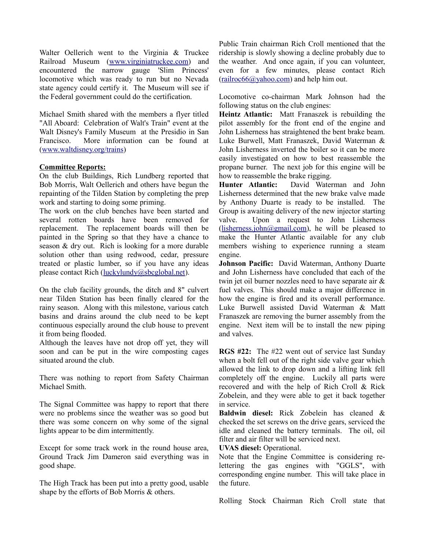Walter Oellerich went to the Virginia & Truckee Railroad Museum [\(www.virginiatruckee.com\)](http://www.virginiatruckee.com/) and encountered the narrow gauge 'Slim Princess' locomotive which was ready to run but no Nevada state agency could certify it. The Museum will see if the Federal government could do the certification.

Michael Smith shared with the members a flyer titled "All Aboard: Celebration of Walt's Train" event at the Walt Disney's Family Museum at the Presidio in San Francisco. More information can be found at [\(www.waltdisney.org/trains\)](http://www.waltdisney.org/trains)

### **Committee Reports:**

On the club Buildings, Rich Lundberg reported that Bob Morris, Walt Oellerich and others have begun the repainting of the Tilden Station by completing the prep work and starting to doing some priming.

The work on the club benches have been started and several rotten boards have been removed for replacement. The replacement boards will then be painted in the Spring so that they have a chance to season & dry out. Rich is looking for a more durable solution other than using redwood, cedar, pressure treated or plastic lumber, so if you have any ideas please contact Rich [\(luckylundy@sbcglobal.net\)](mailto:luckylundy@sbcglobal.net).

On the club facility grounds, the ditch and 8" culvert near Tilden Station has been finally cleared for the rainy season. Along with this milestone, various catch basins and drains around the club need to be kept continuous especially around the club house to prevent it from being flooded.

Although the leaves have not drop off yet, they will soon and can be put in the wire composting cages situated around the club.

There was nothing to report from Safety Chairman Michael Smith.

The Signal Committee was happy to report that there were no problems since the weather was so good but there was some concern on why some of the signal lights appear to be dim intermittently.

Except for some track work in the round house area, Ground Track Jim Dameron said everything was in good shape.

The High Track has been put into a pretty good, usable shape by the efforts of Bob Morris & others.

Public Train chairman Rich Croll mentioned that the ridership is slowly showing a decline probably due to the weather. And once again, if you can volunteer, even for a few minutes, please contact Rich [\(railroc66@yahoo.com\)](mailto:railroc66@yahoo.com) and help him out.

Locomotive co-chairman Mark Johnson had the following status on the club engines:

**Heintz Atlantic:** Matt Franaszek is rebuilding the pilot assembly for the front end of the engine and John Lisherness has straightened the bent brake beam. Luke Burwell, Matt Franaszek, David Waterman & John Lisherness inverted the boiler so it can be more easily investigated on how to best reassemble the propane burner. The next job for this engine will be how to reassemble the brake rigging.

**Hunter Atlantic:** David Waterman and John Lisherness determined that the new brake valve made by Anthony Duarte is ready to be installed. The Group is awaiting delivery of the new injector starting valve. Upon a request to John Lisherness [\(lisherness.john@gmail.com\)](mailto:lisherness.john@gmail.com), he will be pleased to make the Hunter Atlantic available for any club members wishing to experience running a steam engine.

**Johnson Pacific:** David Waterman, Anthony Duarte and John Lisherness have concluded that each of the twin jet oil burner nozzles need to have separate air & fuel valves. This should make a major difference in how the engine is fired and its overall performance. Luke Burwell assisted David Waterman & Matt Franaszek are removing the burner assembly from the engine. Next item will be to install the new piping and valves.

**RGS #22:** The #22 went out of service last Sunday when a bolt fell out of the right side valve gear which allowed the link to drop down and a lifting link fell completely off the engine. Luckily all parts were recovered and with the help of Rich Croll & Rick Zobelein, and they were able to get it back together in service.

**Baldwin diesel:** Rick Zobelein has cleaned & checked the set screws on the drive gears, serviced the idle and cleaned the battery terminals. The oil, oil filter and air filter will be serviced next.

**UVAS diesel:** Operational.

Note that the Engine Committee is considering relettering the gas engines with "GGLS", with corresponding engine number. This will take place in the future.

Rolling Stock Chairman Rich Croll state that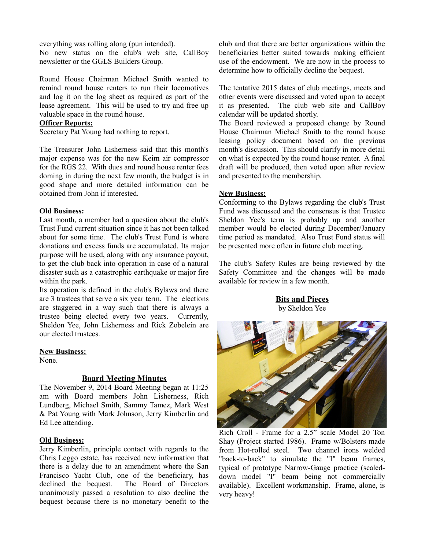everything was rolling along (pun intended).

No new status on the club's web site, CallBoy newsletter or the GGLS Builders Group.

Round House Chairman Michael Smith wanted to remind round house renters to run their locomotives and log it on the log sheet as required as part of the lease agreement. This will be used to try and free up valuable space in the round house.

#### **Officer Reports:**

Secretary Pat Young had nothing to report.

The Treasurer John Lisherness said that this month's major expense was for the new Keim air compressor for the RGS 22. With dues and round house renter fees doming in during the next few month, the budget is in good shape and more detailed information can be obtained from John if interested.

### **Old Business:**

Last month, a member had a question about the club's Trust Fund current situation since it has not been talked about for some time. The club's Trust Fund is where donations and excess funds are accumulated. Its major purpose will be used, along with any insurance payout, to get the club back into operation in case of a natural disaster such as a catastrophic earthquake or major fire within the park.

Its operation is defined in the club's Bylaws and there are 3 trustees that serve a six year term. The elections are staggered in a way such that there is always a trustee being elected every two years. Currently, Sheldon Yee, John Lisherness and Rick Zobelein are our elected trustees.

#### **New Business:**

None.

# **Board Meeting Minutes**

The November 9, 2014 Board Meeting began at 11:25 am with Board members John Lisherness, Rich Lundberg, Michael Smith, Sammy Tamez, Mark West & Pat Young with Mark Johnson, Jerry Kimberlin and Ed Lee attending.

# **Old Business:**

Jerry Kimberlin, principle contact with regards to the Chris Leggo estate, has received new information that there is a delay due to an amendment where the San Francisco Yacht Club, one of the beneficiary, has declined the bequest. The Board of Directors unanimously passed a resolution to also decline the bequest because there is no monetary benefit to the club and that there are better organizations within the beneficiaries better suited towards making efficient use of the endowment. We are now in the process to determine how to officially decline the bequest.

The tentative 2015 dates of club meetings, meets and other events were discussed and voted upon to accept it as presented. The club web site and CallBoy calendar will be updated shortly.

The Board reviewed a proposed change by Round House Chairman Michael Smith to the round house leasing policy document based on the previous month's discussion. This should clarify in more detail on what is expected by the round house renter. A final draft will be produced, then voted upon after review and presented to the membership.

### **New Business:**

Conforming to the Bylaws regarding the club's Trust Fund was discussed and the consensus is that Trustee Sheldon Yee's term is probably up and another member would be elected during December/January time period as mandated. Also Trust Fund status will be presented more often in future club meeting.

The club's Safety Rules are being reviewed by the Safety Committee and the changes will be made available for review in a few month.

> **Bits and Pieces** by Sheldon Yee



Rich Croll - Frame for a 2.5" scale Model 20 Ton Shay (Project started 1986). Frame w/Bolsters made from Hot-rolled steel. Two channel irons welded "back-to-back" to simulate the "I" beam frames, typical of prototype Narrow-Gauge practice (scaleddown model "I" beam being not commercially available). Excellent workmanship. Frame, alone, is very heavy!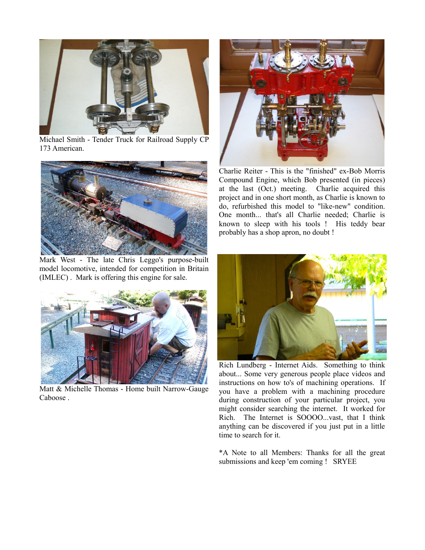

Michael Smith - Tender Truck for Railroad Supply CP 173 American.



Mark West - The late Chris Leggo's purpose-built model locomotive, intended for competition in Britain (IMLEC) . Mark is offering this engine for sale.



Matt & Michelle Thomas - Home built Narrow-Gauge Caboose .



Charlie Reiter - This is the "finished" ex-Bob Morris Compound Engine, which Bob presented (in pieces) at the last (Oct.) meeting. Charlie acquired this project and in one short month, as Charlie is known to do, refurbished this model to "like-new" condition. One month... that's all Charlie needed; Charlie is known to sleep with his tools ! His teddy bear probably has a shop apron, no doubt !



Rich Lundberg - Internet Aids. Something to think about... Some very generous people place videos and instructions on how to's of machining operations. If you have a problem with a machining procedure during construction of your particular project, you might consider searching the internet. It worked for Rich. The Internet is SOOOO...vast, that I think anything can be discovered if you just put in a little time to search for it.

\*A Note to all Members: Thanks for all the great submissions and keep 'em coming ! SRYEE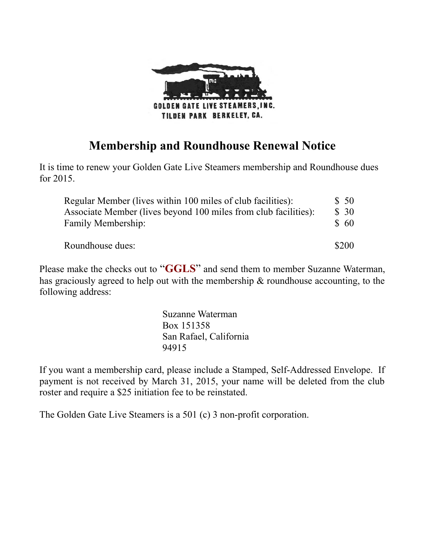

# **Membership and Roundhouse Renewal Notice**

It is time to renew your Golden Gate Live Steamers membership and Roundhouse dues for 2015.

| Regular Member (lives within 100 miles of club facilities):     | \$50  |
|-----------------------------------------------------------------|-------|
| Associate Member (lives beyond 100 miles from club facilities): | \$30  |
| Family Membership:                                              | \$60  |
|                                                                 |       |
| Roundhouse dues:                                                | \$200 |

Please make the checks out to "**GGLS**" and send them to member Suzanne Waterman, has graciously agreed to help out with the membership & roundhouse accounting, to the following address:

> Suzanne Waterman Box 151358 San Rafael, California 94915

If you want a membership card, please include a Stamped, Self-Addressed Envelope. If payment is not received by March 31, 2015, your name will be deleted from the club roster and require a \$25 initiation fee to be reinstated.

The Golden Gate Live Steamers is a 501 (c) 3 non-profit corporation.